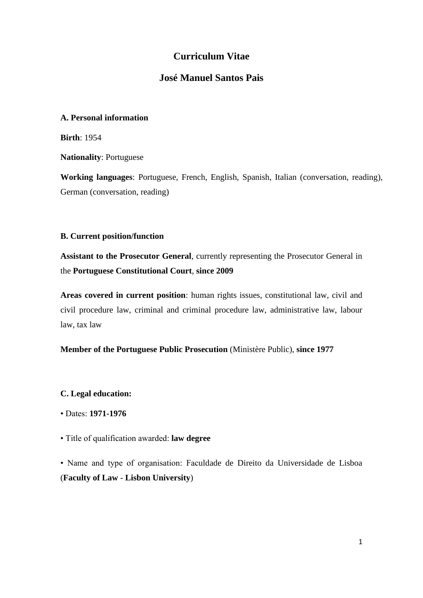# **Curriculum Vitae**

## **José Manuel Santos Pais**

### **A. Personal information**

**Birth**: 1954

**Nationality**: Portuguese

**Working languages**: Portuguese, French, English, Spanish, Italian (conversation, reading), German (conversation, reading)

### **B. Current position/function**

**Assistant to the Prosecutor General**, currently representing the Prosecutor General in the **Portuguese Constitutional Court**, **since 2009**

**Areas covered in current position**: human rights issues, constitutional law, civil and civil procedure law, criminal and criminal procedure law, administrative law, labour law, tax law

## **Member of the Portuguese Public Prosecution** (Ministère Public), **since 1977**

**C. Legal education:**

- Dates: **1971-1976**
- Title of qualification awarded: **law degree**

• Name and type of organisation: Faculdade de Direito da Universidade de Lisboa (**Faculty of Law** - **Lisbon University**)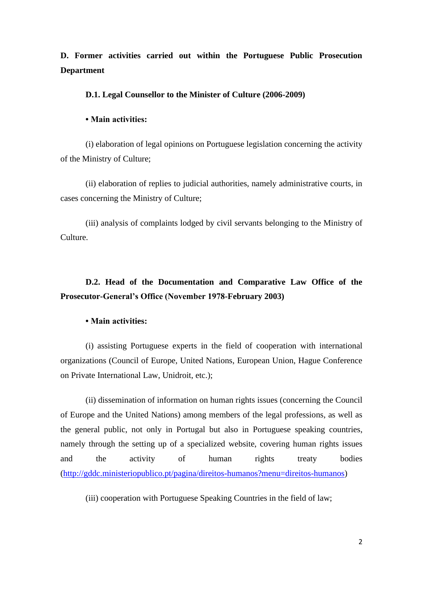# **D. Former activities carried out within the Portuguese Public Prosecution Department**

#### **D.1. Legal Counsellor to the Minister of Culture (2006-2009)**

#### **• Main activities:**

(i) elaboration of legal opinions on Portuguese legislation concerning the activity of the Ministry of Culture;

(ii) elaboration of replies to judicial authorities, namely administrative courts, in cases concerning the Ministry of Culture;

(iii) analysis of complaints lodged by civil servants belonging to the Ministry of Culture.

# **D.2. Head of the Documentation and Comparative Law Office of the Prosecutor-General's Office (November 1978-February 2003)**

#### **• Main activities:**

(i) assisting Portuguese experts in the field of cooperation with international organizations (Council of Europe, United Nations, European Union, Hague Conference on Private International Law, Unidroit, etc.);

(ii) dissemination of information on human rights issues (concerning the Council of Europe and the United Nations) among members of the legal professions, as well as the general public, not only in Portugal but also in Portuguese speaking countries, namely through the setting up of a specialized website, covering human rights issues and the activity of human rights treaty bodies [\(http://gddc.ministeriopublico.pt/pagina/direitos-humanos?menu=direitos-humanos\)](http://gddc.ministeriopublico.pt/pagina/direitos-humanos?menu=direitos-humanos)

(iii) cooperation with Portuguese Speaking Countries in the field of law;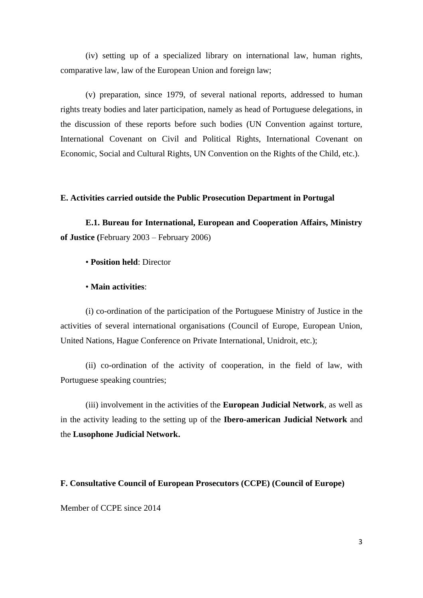(iv) setting up of a specialized library on international law, human rights, comparative law, law of the European Union and foreign law;

(v) preparation, since 1979, of several national reports, addressed to human rights treaty bodies and later participation, namely as head of Portuguese delegations, in the discussion of these reports before such bodies (UN Convention against torture, International Covenant on Civil and Political Rights, International Covenant on Economic, Social and Cultural Rights, UN Convention on the Rights of the Child, etc.).

## **E. Activities carried outside the Public Prosecution Department in Portugal**

**E.1. Bureau for International, European and Cooperation Affairs, Ministry of Justice (**February 2003 – February 2006)

• **Position held**: Director

#### • **Main activities**:

(i) co-ordination of the participation of the Portuguese Ministry of Justice in the activities of several international organisations (Council of Europe, European Union, United Nations, Hague Conference on Private International, Unidroit, etc.);

(ii) co-ordination of the activity of cooperation, in the field of law, with Portuguese speaking countries;

(iii) involvement in the activities of the **European Judicial Network**, as well as in the activity leading to the setting up of the **Ibero-american Judicial Network** and the **Lusophone Judicial Network.**

#### **F. Consultative Council of European Prosecutors (CCPE) (Council of Europe)**

Member of CCPE since 2014